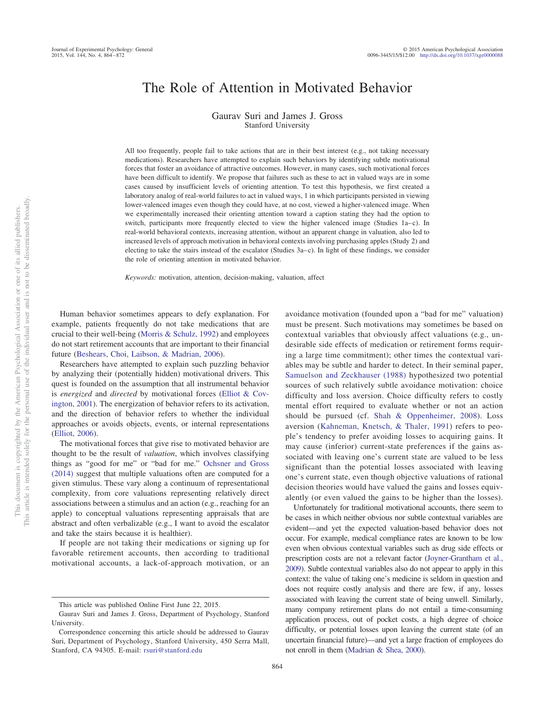# The Role of Attention in Motivated Behavior

Gaurav Suri and James J. Gross Stanford University

All too frequently, people fail to take actions that are in their best interest (e.g., not taking necessary medications). Researchers have attempted to explain such behaviors by identifying subtle motivational forces that foster an avoidance of attractive outcomes. However, in many cases, such motivational forces have been difficult to identify. We propose that failures such as these to act in valued ways are in some cases caused by insufficient levels of orienting attention. To test this hypothesis, we first created a laboratory analog of real-world failures to act in valued ways, 1 in which participants persisted in viewing lower-valenced images even though they could have, at no cost, viewed a higher-valenced image. When we experimentally increased their orienting attention toward a caption stating they had the option to switch, participants more frequently elected to view the higher valenced image (Studies  $1a-c$ ). In real-world behavioral contexts, increasing attention, without an apparent change in valuation, also led to increased levels of approach motivation in behavioral contexts involving purchasing apples (Study 2) and electing to take the stairs instead of the escalator (Studies 3a– c). In light of these findings, we consider the role of orienting attention in motivated behavior.

*Keywords:* motivation, attention, decision-making, valuation, affect

Human behavior sometimes appears to defy explanation. For example, patients frequently do not take medications that are crucial to their well-being (Morris & Schulz, 1992) and employees do not start retirement accounts that are important to their financial future (Beshears, Choi, Laibson, & Madrian, 2006).

Researchers have attempted to explain such puzzling behavior by analyzing their (potentially hidden) motivational drivers. This quest is founded on the assumption that all instrumental behavior is *energized* and *directed* by motivational forces (Elliot & Covington, 2001). The energization of behavior refers to its activation, and the direction of behavior refers to whether the individual approaches or avoids objects, events, or internal representations (Elliot, 2006).

The motivational forces that give rise to motivated behavior are thought to be the result of *valuation*, which involves classifying things as "good for me" or "bad for me." Ochsner and Gross (2014) suggest that multiple valuations often are computed for a given stimulus. These vary along a continuum of representational complexity, from core valuations representing relatively direct associations between a stimulus and an action (e.g., reaching for an apple) to conceptual valuations representing appraisals that are abstract and often verbalizable (e.g., I want to avoid the escalator and take the stairs because it is healthier).

If people are not taking their medications or signing up for favorable retirement accounts, then according to traditional motivational accounts, a lack-of-approach motivation, or an avoidance motivation (founded upon a "bad for me" valuation) must be present. Such motivations may sometimes be based on contextual variables that obviously affect valuations (e.g., undesirable side effects of medication or retirement forms requiring a large time commitment); other times the contextual variables may be subtle and harder to detect. In their seminal paper, Samuelson and Zeckhauser (1988) hypothesized two potential sources of such relatively subtle avoidance motivation: choice difficulty and loss aversion. Choice difficulty refers to costly mental effort required to evaluate whether or not an action should be pursued (cf. Shah & Oppenheimer, 2008). Loss aversion (Kahneman, Knetsch, & Thaler, 1991) refers to people's tendency to prefer avoiding losses to acquiring gains. It may cause (inferior) current-state preferences if the gains associated with leaving one's current state are valued to be less significant than the potential losses associated with leaving one's current state, even though objective valuations of rational decision theories would have valued the gains and losses equivalently (or even valued the gains to be higher than the losses).

Unfortunately for traditional motivational accounts, there seem to be cases in which neither obvious nor subtle contextual variables are evident—and yet the expected valuation-based behavior does not occur. For example, medical compliance rates are known to be low even when obvious contextual variables such as drug side effects or prescription costs are not a relevant factor (Joyner-Grantham et al., 2009). Subtle contextual variables also do not appear to apply in this context: the value of taking one's medicine is seldom in question and does not require costly analysis and there are few, if any, losses associated with leaving the current state of being unwell. Similarly, many company retirement plans do not entail a time-consuming application process, out of pocket costs, a high degree of choice difficulty, or potential losses upon leaving the current state (of an uncertain financial future)—and yet a large fraction of employees do not enroll in them (Madrian & Shea, 2000).

This article was published Online First June 22, 2015.

Gaurav Suri and James J. Gross, Department of Psychology, Stanford University.

Correspondence concerning this article should be addressed to Gaurav Suri, Department of Psychology, Stanford University, 450 Serra Mall, Stanford, CA 94305. E-mail: rsuri@stanford.edu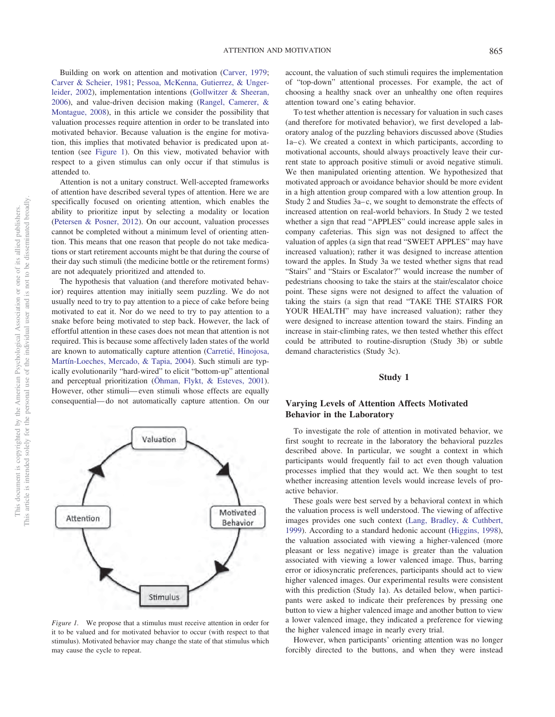Building on work on attention and motivation (Carver, 1979; Carver & Scheier, 1981; Pessoa, McKenna, Gutierrez, & Ungerleider, 2002), implementation intentions (Gollwitzer & Sheeran, 2006), and value-driven decision making (Rangel, Camerer, & Montague, 2008), in this article we consider the possibility that valuation processes require attention in order to be translated into motivated behavior. Because valuation is the engine for motivation, this implies that motivated behavior is predicated upon attention (see Figure 1). On this view, motivated behavior with respect to a given stimulus can only occur if that stimulus is attended to.

Attention is not a unitary construct. Well-accepted frameworks of attention have described several types of attention. Here we are specifically focused on orienting attention, which enables the ability to prioritize input by selecting a modality or location (Petersen & Posner, 2012). On our account, valuation processes cannot be completed without a minimum level of orienting attention. This means that one reason that people do not take medications or start retirement accounts might be that during the course of their day such stimuli (the medicine bottle or the retirement forms) are not adequately prioritized and attended to.

The hypothesis that valuation (and therefore motivated behavior) requires attention may initially seem puzzling. We do not usually need to try to pay attention to a piece of cake before being motivated to eat it. Nor do we need to try to pay attention to a snake before being motivated to step back. However, the lack of effortful attention in these cases does not mean that attention is not required. This is because some affectively laden states of the world are known to automatically capture attention (Carretié, Hinojosa, Martín-Loeches, Mercado, & Tapia, 2004). Such stimuli are typically evolutionarily "hard-wired" to elicit "bottom-up" attentional and perceptual prioritization (Öhman, Flykt, & Esteves, 2001). However, other stimuli— even stimuli whose effects are equally consequential— do not automatically capture attention. On our



*Figure 1.* We propose that a stimulus must receive attention in order for it to be valued and for motivated behavior to occur (with respect to that stimulus). Motivated behavior may change the state of that stimulus which may cause the cycle to repeat.

account, the valuation of such stimuli requires the implementation of "top-down" attentional processes. For example, the act of choosing a healthy snack over an unhealthy one often requires attention toward one's eating behavior.

To test whether attention is necessary for valuation in such cases (and therefore for motivated behavior), we first developed a laboratory analog of the puzzling behaviors discussed above (Studies 1a– c). We created a context in which participants, according to motivational accounts, should always proactively leave their current state to approach positive stimuli or avoid negative stimuli. We then manipulated orienting attention. We hypothesized that motivated approach or avoidance behavior should be more evident in a high attention group compared with a low attention group. In Study 2 and Studies 3a– c, we sought to demonstrate the effects of increased attention on real-world behaviors. In Study 2 we tested whether a sign that read "APPLES" could increase apple sales in company cafeterias. This sign was not designed to affect the valuation of apples (a sign that read "SWEET APPLES" may have increased valuation); rather it was designed to increase attention toward the apples. In Study 3a we tested whether signs that read "Stairs" and "Stairs or Escalator?" would increase the number of pedestrians choosing to take the stairs at the stair/escalator choice point. These signs were not designed to affect the valuation of taking the stairs (a sign that read "TAKE THE STAIRS FOR YOUR HEALTH" may have increased valuation); rather they were designed to increase attention toward the stairs. Finding an increase in stair-climbing rates, we then tested whether this effect could be attributed to routine-disruption (Study 3b) or subtle demand characteristics (Study 3c).

### **Study 1**

## **Varying Levels of Attention Affects Motivated Behavior in the Laboratory**

To investigate the role of attention in motivated behavior, we first sought to recreate in the laboratory the behavioral puzzles described above. In particular, we sought a context in which participants would frequently fail to act even though valuation processes implied that they would act. We then sought to test whether increasing attention levels would increase levels of proactive behavior.

These goals were best served by a behavioral context in which the valuation process is well understood. The viewing of affective images provides one such context (Lang, Bradley, & Cuthbert, 1999). According to a standard hedonic account (Higgins, 1998), the valuation associated with viewing a higher-valenced (more pleasant or less negative) image is greater than the valuation associated with viewing a lower valenced image. Thus, barring error or idiosyncratic preferences, participants should act to view higher valenced images. Our experimental results were consistent with this prediction (Study 1a). As detailed below, when participants were asked to indicate their preferences by pressing one button to view a higher valenced image and another button to view a lower valenced image, they indicated a preference for viewing the higher valenced image in nearly every trial.

However, when participants' orienting attention was no longer forcibly directed to the buttons, and when they were instead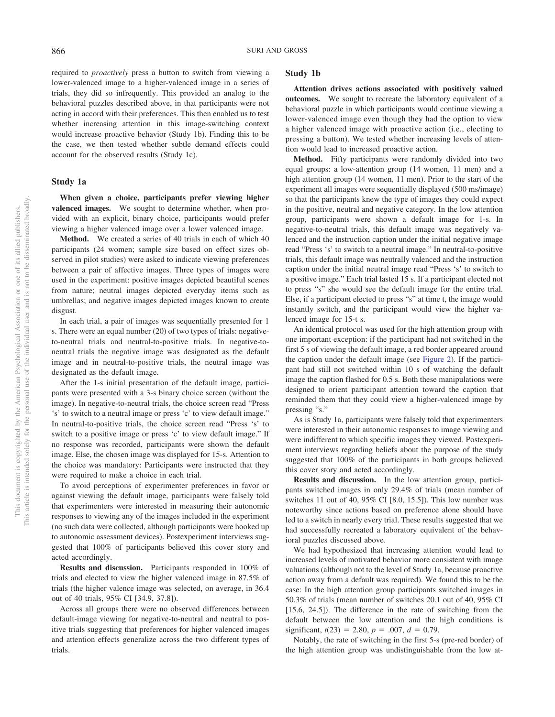required to *proactively* press a button to switch from viewing a lower-valenced image to a higher-valenced image in a series of trials, they did so infrequently. This provided an analog to the behavioral puzzles described above, in that participants were not acting in accord with their preferences. This then enabled us to test whether increasing attention in this image-switching context would increase proactive behavior (Study 1b). Finding this to be the case, we then tested whether subtle demand effects could account for the observed results (Study 1c).

#### **Study 1a**

**When given a choice, participants prefer viewing higher valenced images.** We sought to determine whether, when provided with an explicit, binary choice, participants would prefer viewing a higher valenced image over a lower valenced image.

**Method.** We created a series of 40 trials in each of which 40 participants (24 women; sample size based on effect sizes observed in pilot studies) were asked to indicate viewing preferences between a pair of affective images. Three types of images were used in the experiment: positive images depicted beautiful scenes from nature; neutral images depicted everyday items such as umbrellas; and negative images depicted images known to create disgust.

In each trial, a pair of images was sequentially presented for 1 s. There were an equal number (20) of two types of trials: negativeto-neutral trials and neutral-to-positive trials. In negative-toneutral trials the negative image was designated as the default image and in neutral-to-positive trials, the neutral image was designated as the default image.

After the 1-s initial presentation of the default image, participants were presented with a 3-s binary choice screen (without the image). In negative-to-neutral trials, the choice screen read "Press 's' to switch to a neutral image or press 'c' to view default image." In neutral-to-positive trials, the choice screen read "Press 's' to switch to a positive image or press 'c' to view default image." If no response was recorded, participants were shown the default image. Else, the chosen image was displayed for 15-s. Attention to the choice was mandatory: Participants were instructed that they were required to make a choice in each trial.

To avoid perceptions of experimenter preferences in favor or against viewing the default image, participants were falsely told that experimenters were interested in measuring their autonomic responses to viewing any of the images included in the experiment (no such data were collected, although participants were hooked up to autonomic assessment devices). Postexperiment interviews suggested that 100% of participants believed this cover story and acted accordingly.

**Results and discussion.** Participants responded in 100% of trials and elected to view the higher valenced image in 87.5% of trials (the higher valence image was selected, on average, in 36.4 out of 40 trials, 95% CI [34.9, 37.8]).

Across all groups there were no observed differences between default-image viewing for negative-to-neutral and neutral to positive trials suggesting that preferences for higher valenced images and attention effects generalize across the two different types of trials.

#### **Study 1b**

**Attention drives actions associated with positively valued outcomes.** We sought to recreate the laboratory equivalent of a behavioral puzzle in which participants would continue viewing a lower-valenced image even though they had the option to view a higher valenced image with proactive action (i.e., electing to pressing a button). We tested whether increasing levels of attention would lead to increased proactive action.

**Method.** Fifty participants were randomly divided into two equal groups: a low-attention group (14 women, 11 men) and a high attention group (14 women, 11 men). Prior to the start of the experiment all images were sequentially displayed (500 ms/image) so that the participants knew the type of images they could expect in the positive, neutral and negative category. In the low attention group, participants were shown a default image for 1-s. In negative-to-neutral trials, this default image was negatively valenced and the instruction caption under the initial negative image read "Press 's' to switch to a neutral image." In neutral-to-positive trials, this default image was neutrally valenced and the instruction caption under the initial neutral image read "Press 's' to switch to a positive image." Each trial lasted 15 s. If a participant elected not to press "s" she would see the default image for the entire trial. Else, if a participant elected to press "s" at time t, the image would instantly switch, and the participant would view the higher valenced image for 15-t s.

An identical protocol was used for the high attention group with one important exception: if the participant had not switched in the first 5 s of viewing the default image, a red border appeared around the caption under the default image (see Figure 2). If the participant had still not switched within 10 s of watching the default image the caption flashed for 0.5 s. Both these manipulations were designed to orient participant attention toward the caption that reminded them that they could view a higher-valenced image by pressing "s."

As is Study 1a, participants were falsely told that experimenters were interested in their autonomic responses to image viewing and were indifferent to which specific images they viewed. Postexperiment interviews regarding beliefs about the purpose of the study suggested that 100% of the participants in both groups believed this cover story and acted accordingly.

**Results and discussion.** In the low attention group, participants switched images in only 29.4% of trials (mean number of switches 11 out of 40, 95% CI [8.0, 15.5]). This low number was noteworthy since actions based on preference alone should have led to a switch in nearly every trial. These results suggested that we had successfully recreated a laboratory equivalent of the behavioral puzzles discussed above.

We had hypothesized that increasing attention would lead to increased levels of motivated behavior more consistent with image valuations (although not to the level of Study 1a, because proactive action away from a default was required). We found this to be the case: In the high attention group participants switched images in 50.3% of trials (mean number of switches 20.1 out of 40, 95% CI [15.6, 24.5]). The difference in the rate of switching from the default between the low attention and the high conditions is significant,  $t(23) = 2.80$ ,  $p = .007$ ,  $d = 0.79$ .

Notably, the rate of switching in the first 5-s (pre-red border) of the high attention group was undistinguishable from the low at-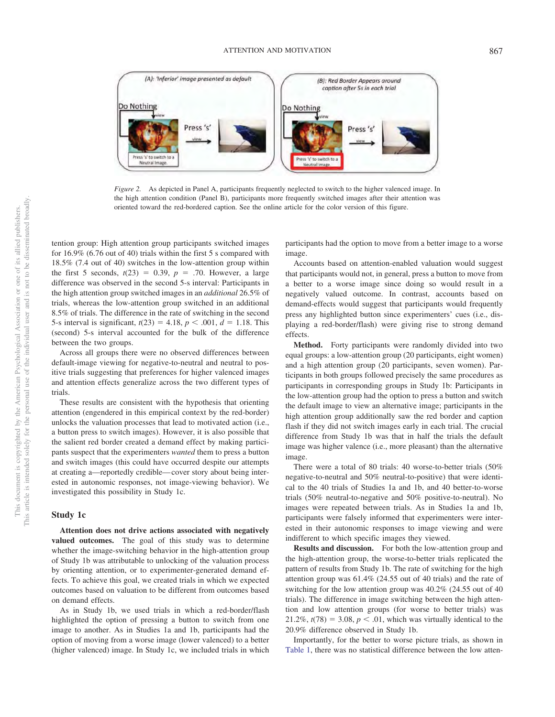

*Figure 2.* As depicted in Panel A, participants frequently neglected to switch to the higher valenced image. In the high attention condition (Panel B), participants more frequently switched images after their attention was oriented toward the red-bordered caption. See the online article for the color version of this figure.

tention group: High attention group participants switched images for 16.9% (6.76 out of 40) trials within the first 5 s compared with 18.5% (7.4 out of 40) switches in the low-attention group within the first 5 seconds,  $t(23) = 0.39$ ,  $p = .70$ . However, a large difference was observed in the second 5-s interval: Participants in the high attention group switched images in an *additional* 26.5% of trials, whereas the low-attention group switched in an additional 8.5% of trials. The difference in the rate of switching in the second 5-s interval is significant,  $t(23) = 4.18$ ,  $p < .001$ ,  $d = 1.18$ . This (second) 5-s interval accounted for the bulk of the difference between the two groups.

Across all groups there were no observed differences between default-image viewing for negative-to-neutral and neutral to positive trials suggesting that preferences for higher valenced images and attention effects generalize across the two different types of trials.

These results are consistent with the hypothesis that orienting attention (engendered in this empirical context by the red-border) unlocks the valuation processes that lead to motivated action (i.e., a button press to switch images). However, it is also possible that the salient red border created a demand effect by making participants suspect that the experimenters *wanted* them to press a button and switch images (this could have occurred despite our attempts at creating a—reportedly credible— cover story about being interested in autonomic responses, not image-viewing behavior). We investigated this possibility in Study 1c.

#### **Study 1c**

**Attention does not drive actions associated with negatively valued outcomes.** The goal of this study was to determine whether the image-switching behavior in the high-attention group of Study 1b was attributable to unlocking of the valuation process by orienting attention, or to experimenter-generated demand effects. To achieve this goal, we created trials in which we expected outcomes based on valuation to be different from outcomes based on demand effects.

As in Study 1b, we used trials in which a red-border/flash highlighted the option of pressing a button to switch from one image to another. As in Studies 1a and 1b, participants had the option of moving from a worse image (lower valenced) to a better (higher valenced) image. In Study 1c, we included trials in which participants had the option to move from a better image to a worse image.

Accounts based on attention-enabled valuation would suggest that participants would not, in general, press a button to move from a better to a worse image since doing so would result in a negatively valued outcome. In contrast, accounts based on demand-effects would suggest that participants would frequently press any highlighted button since experimenters' cues (i.e., displaying a red-border/flash) were giving rise to strong demand effects.

**Method.** Forty participants were randomly divided into two equal groups: a low-attention group (20 participants, eight women) and a high attention group (20 participants, seven women). Participants in both groups followed precisely the same procedures as participants in corresponding groups in Study 1b: Participants in the low-attention group had the option to press a button and switch the default image to view an alternative image; participants in the high attention group additionally saw the red border and caption flash if they did not switch images early in each trial. The crucial difference from Study 1b was that in half the trials the default image was higher valence (i.e., more pleasant) than the alternative image.

There were a total of 80 trials: 40 worse-to-better trials (50% negative-to-neutral and 50% neutral-to-positive) that were identical to the 40 trials of Studies 1a and 1b, and 40 better-to-worse trials (50% neutral-to-negative and 50% positive-to-neutral). No images were repeated between trials. As in Studies 1a and 1b, participants were falsely informed that experimenters were interested in their autonomic responses to image viewing and were indifferent to which specific images they viewed.

**Results and discussion.** For both the low-attention group and the high-attention group, the worse-to-better trials replicated the pattern of results from Study 1b. The rate of switching for the high attention group was 61.4% (24.55 out of 40 trials) and the rate of switching for the low attention group was 40.2% (24.55 out of 40 trials). The difference in image switching between the high attention and low attention groups (for worse to better trials) was 21.2%,  $t(78) = 3.08$ ,  $p < .01$ , which was virtually identical to the 20.9% difference observed in Study 1b.

Importantly, for the better to worse picture trials, as shown in Table 1, there was no statistical difference between the low atten-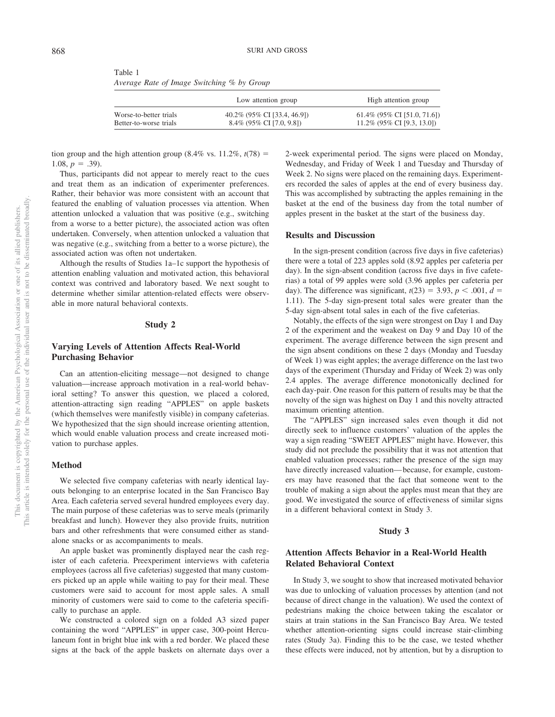| Table 1                                    |  |  |  |
|--------------------------------------------|--|--|--|
| Average Rate of Image Switching % by Group |  |  |  |

|                        | Low attention group          | High attention group            |  |  |
|------------------------|------------------------------|---------------------------------|--|--|
| Worse-to-better trials | 40.2% (95% CI [33.4, 46.9])  | $61.4\%$ (95\% CI [51.0, 71.6]) |  |  |
| Better-to-worse trials | $8.4\%$ (95\% CI [7.0, 9.8]) | $11.2\%$ (95\% CI [9.3, 13.0])  |  |  |

tion group and the high attention group  $(8.4\% \text{ vs. } 11.2\%, t(78)) =$ 1.08,  $p = .39$ ).

Thus, participants did not appear to merely react to the cues and treat them as an indication of experimenter preferences. Rather, their behavior was more consistent with an account that featured the enabling of valuation processes via attention. When attention unlocked a valuation that was positive (e.g., switching from a worse to a better picture), the associated action was often undertaken. Conversely, when attention unlocked a valuation that was negative (e.g., switching from a better to a worse picture), the associated action was often not undertaken.

Although the results of Studies 1a–1c support the hypothesis of attention enabling valuation and motivated action, this behavioral context was contrived and laboratory based. We next sought to determine whether similar attention-related effects were observable in more natural behavioral contexts.

#### **Study 2**

## **Varying Levels of Attention Affects Real-World Purchasing Behavior**

Can an attention-eliciting message—not designed to change valuation—increase approach motivation in a real-world behavioral setting? To answer this question, we placed a colored, attention-attracting sign reading "APPLES" on apple baskets (which themselves were manifestly visible) in company cafeterias. We hypothesized that the sign should increase orienting attention, which would enable valuation process and create increased motivation to purchase apples.

#### **Method**

We selected five company cafeterias with nearly identical layouts belonging to an enterprise located in the San Francisco Bay Area. Each cafeteria served several hundred employees every day. The main purpose of these cafeterias was to serve meals (primarily breakfast and lunch). However they also provide fruits, nutrition bars and other refreshments that were consumed either as standalone snacks or as accompaniments to meals.

An apple basket was prominently displayed near the cash register of each cafeteria. Preexperiment interviews with cafeteria employees (across all five cafeterias) suggested that many customers picked up an apple while waiting to pay for their meal. These customers were said to account for most apple sales. A small minority of customers were said to come to the cafeteria specifically to purchase an apple.

We constructed a colored sign on a folded A3 sized paper containing the word "APPLES" in upper case, 300-point Herculaneum font in bright blue ink with a red border. We placed these signs at the back of the apple baskets on alternate days over a 2-week experimental period. The signs were placed on Monday, Wednesday, and Friday of Week 1 and Tuesday and Thursday of Week 2. No signs were placed on the remaining days. Experimenters recorded the sales of apples at the end of every business day. This was accomplished by subtracting the apples remaining in the basket at the end of the business day from the total number of apples present in the basket at the start of the business day.

#### **Results and Discussion**

In the sign-present condition (across five days in five cafeterias) there were a total of 223 apples sold (8.92 apples per cafeteria per day). In the sign-absent condition (across five days in five cafeterias) a total of 99 apples were sold (3.96 apples per cafeteria per day). The difference was significant,  $t(23) = 3.93$ ,  $p < .001$ ,  $d =$ 1.11). The 5-day sign-present total sales were greater than the 5-day sign-absent total sales in each of the five cafeterias.

Notably, the effects of the sign were strongest on Day 1 and Day 2 of the experiment and the weakest on Day 9 and Day 10 of the experiment. The average difference between the sign present and the sign absent conditions on these 2 days (Monday and Tuesday of Week 1) was eight apples; the average difference on the last two days of the experiment (Thursday and Friday of Week 2) was only 2.4 apples. The average difference monotonically declined for each day-pair. One reason for this pattern of results may be that the novelty of the sign was highest on Day 1 and this novelty attracted maximum orienting attention.

The "APPLES" sign increased sales even though it did not directly seek to influence customers' valuation of the apples the way a sign reading "SWEET APPLES" might have. However, this study did not preclude the possibility that it was not attention that enabled valuation processes; rather the presence of the sign may have directly increased valuation— because, for example, customers may have reasoned that the fact that someone went to the trouble of making a sign about the apples must mean that they are good. We investigated the source of effectiveness of similar signs in a different behavioral context in Study 3.

#### **Study 3**

## **Attention Affects Behavior in a Real-World Health Related Behavioral Context**

In Study 3, we sought to show that increased motivated behavior was due to unlocking of valuation processes by attention (and not because of direct change in the valuation). We used the context of pedestrians making the choice between taking the escalator or stairs at train stations in the San Francisco Bay Area. We tested whether attention-orienting signs could increase stair-climbing rates (Study 3a). Finding this to be the case, we tested whether these effects were induced, not by attention, but by a disruption to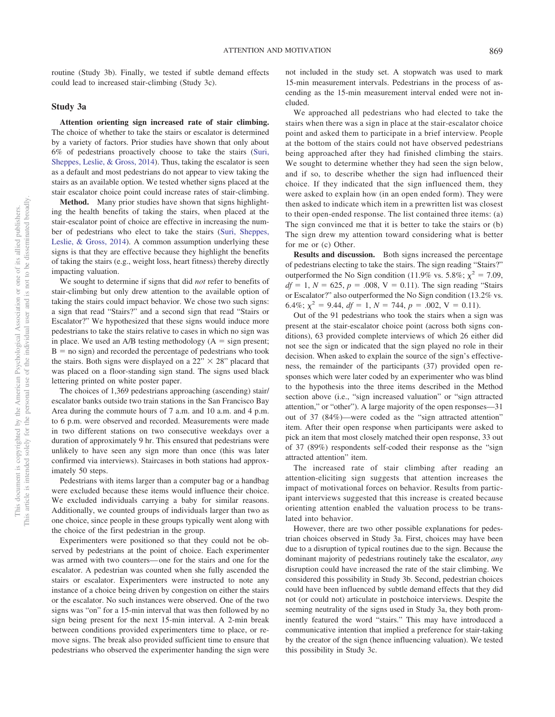routine (Study 3b). Finally, we tested if subtle demand effects could lead to increased stair-climbing (Study 3c).

#### **Study 3a**

**Attention orienting sign increased rate of stair climbing.** The choice of whether to take the stairs or escalator is determined by a variety of factors. Prior studies have shown that only about 6% of pedestrians proactively choose to take the stairs (Suri, Sheppes, Leslie, & Gross, 2014). Thus, taking the escalator is seen as a default and most pedestrians do not appear to view taking the stairs as an available option. We tested whether signs placed at the stair escalator choice point could increase rates of stair-climbing.

**Method.** Many prior studies have shown that signs highlighting the health benefits of taking the stairs, when placed at the stair-escalator point of choice are effective in increasing the number of pedestrians who elect to take the stairs (Suri, Sheppes, Leslie, & Gross, 2014). A common assumption underlying these signs is that they are effective because they highlight the benefits of taking the stairs (e.g., weight loss, heart fitness) thereby directly impacting valuation.

We sought to determine if signs that did *not* refer to benefits of stair-climbing but only drew attention to the available option of taking the stairs could impact behavior. We chose two such signs: a sign that read "Stairs?" and a second sign that read "Stairs or Escalator?" We hypothesized that these signs would induce more pedestrians to take the stairs relative to cases in which no sign was in place. We used an  $A/B$  testing methodology ( $A = sign$  present;  $B =$  no sign) and recorded the percentage of pedestrians who took the stairs. Both signs were displayed on a  $22" \times 28"$  placard that was placed on a floor-standing sign stand. The signs used black lettering printed on white poster paper.

The choices of 1,369 pedestrians approaching (ascending) stair/ escalator banks outside two train stations in the San Francisco Bay Area during the commute hours of 7 a.m. and 10 a.m. and 4 p.m. to 6 p.m. were observed and recorded. Measurements were made in two different stations on two consecutive weekdays over a duration of approximately 9 hr. This ensured that pedestrians were unlikely to have seen any sign more than once (this was later confirmed via interviews). Staircases in both stations had approximately 50 steps.

Pedestrians with items larger than a computer bag or a handbag were excluded because these items would influence their choice. We excluded individuals carrying a baby for similar reasons. Additionally, we counted groups of individuals larger than two as one choice, since people in these groups typically went along with the choice of the first pedestrian in the group.

Experimenters were positioned so that they could not be observed by pedestrians at the point of choice. Each experimenter was armed with two counters— one for the stairs and one for the escalator. A pedestrian was counted when she fully ascended the stairs or escalator. Experimenters were instructed to note any instance of a choice being driven by congestion on either the stairs or the escalator. No such instances were observed. One of the two signs was "on" for a 15-min interval that was then followed by no sign being present for the next 15-min interval. A 2-min break between conditions provided experimenters time to place, or remove signs. The break also provided sufficient time to ensure that pedestrians who observed the experimenter handing the sign were not included in the study set. A stopwatch was used to mark 15-min measurement intervals. Pedestrians in the process of ascending as the 15-min measurement interval ended were not included.

We approached all pedestrians who had elected to take the stairs when there was a sign in place at the stair-escalator choice point and asked them to participate in a brief interview. People at the bottom of the stairs could not have observed pedestrians being approached after they had finished climbing the stairs. We sought to determine whether they had seen the sign below, and if so, to describe whether the sign had influenced their choice. If they indicated that the sign influenced them, they were asked to explain how (in an open ended form). They were then asked to indicate which item in a prewritten list was closest to their open-ended response. The list contained three items: (a) The sign convinced me that it is better to take the stairs or (b) The sign drew my attention toward considering what is better for me or (c) Other.

**Results and discussion.** Both signs increased the percentage of pedestrians electing to take the stairs. The sign reading "Stairs?" outperformed the No Sign condition (11.9% vs. 5.8%;  $\chi^2 = 7.09$ ,  $df = 1, N = 625, p = .008, V = 0.11$ . The sign reading "Stairs" or Escalator?" also outperformed the No Sign condition (13.2% vs. 6.4%;  $\chi^2 = 9.44$ ,  $df = 1$ ,  $N = 744$ ,  $p = .002$ ,  $V = 0.11$ ).

Out of the 91 pedestrians who took the stairs when a sign was present at the stair-escalator choice point (across both signs conditions), 63 provided complete interviews of which 26 either did not see the sign or indicated that the sign played no role in their decision. When asked to explain the source of the sign's effectiveness, the remainder of the participants (37) provided open responses which were later coded by an experimenter who was blind to the hypothesis into the three items described in the Method section above (i.e., "sign increased valuation" or "sign attracted attention," or "other"). A large majority of the open responses—31 out of 37 (84%)—were coded as the "sign attracted attention" item. After their open response when participants were asked to pick an item that most closely matched their open response, 33 out of 37 (89%) respondents self-coded their response as the "sign attracted attention" item.

The increased rate of stair climbing after reading an attention-eliciting sign suggests that attention increases the impact of motivational forces on behavior. Results from participant interviews suggested that this increase is created because orienting attention enabled the valuation process to be translated into behavior.

However, there are two other possible explanations for pedestrian choices observed in Study 3a. First, choices may have been due to a disruption of typical routines due to the sign. Because the dominant majority of pedestrians routinely take the escalator, *any* disruption could have increased the rate of the stair climbing. We considered this possibility in Study 3b. Second, pedestrian choices could have been influenced by subtle demand effects that they did not (or could not) articulate in postchoice interviews. Despite the seeming neutrality of the signs used in Study 3a, they both prominently featured the word "stairs." This may have introduced a communicative intention that implied a preference for stair-taking by the creator of the sign (hence influencing valuation). We tested this possibility in Study 3c.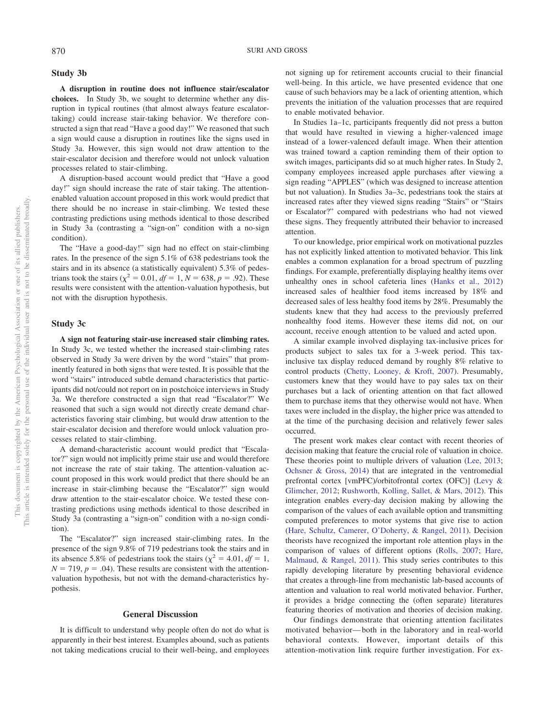#### **Study 3b**

**A disruption in routine does not influence stair/escalator choices.** In Study 3b, we sought to determine whether any disruption in typical routines (that almost always feature escalatortaking) could increase stair-taking behavior. We therefore constructed a sign that read "Have a good day!" We reasoned that such a sign would cause a disruption in routines like the signs used in Study 3a. However, this sign would not draw attention to the stair-escalator decision and therefore would not unlock valuation processes related to stair-climbing.

A disruption-based account would predict that "Have a good day!" sign should increase the rate of stair taking. The attentionenabled valuation account proposed in this work would predict that there should be no increase in stair-climbing. We tested these contrasting predictions using methods identical to those described in Study 3a (contrasting a "sign-on" condition with a no-sign condition).

The "Have a good-day!" sign had no effect on stair-climbing rates. In the presence of the sign 5.1% of 638 pedestrians took the stairs and in its absence (a statistically equivalent) 5.3% of pedestrians took the stairs ( $\chi^2 = 0.01$ ,  $df = 1$ ,  $N = 638$ ,  $p = .92$ ). These results were consistent with the attention-valuation hypothesis, but not with the disruption hypothesis.

#### **Study 3c**

**A sign not featuring stair-use increased stair climbing rates.** In Study 3c, we tested whether the increased stair-climbing rates observed in Study 3a were driven by the word "stairs" that prominently featured in both signs that were tested. It is possible that the word "stairs" introduced subtle demand characteristics that participants did not/could not report on in postchoice interviews in Study 3a. We therefore constructed a sign that read "Escalator?" We reasoned that such a sign would not directly create demand characteristics favoring stair climbing, but would draw attention to the stair-escalator decision and therefore would unlock valuation processes related to stair-climbing.

A demand-characteristic account would predict that "Escalator?" sign would not implicitly prime stair use and would therefore not increase the rate of stair taking. The attention-valuation account proposed in this work would predict that there should be an increase in stair-climbing because the "Escalator?" sign would draw attention to the stair-escalator choice. We tested these contrasting predictions using methods identical to those described in Study 3a (contrasting a "sign-on" condition with a no-sign condition).

The "Escalator?" sign increased stair-climbing rates. In the presence of the sign 9.8% of 719 pedestrians took the stairs and in its absence 5.8% of pedestrians took the stairs ( $\chi^2 = 4.01$ ,  $df = 1$ ,  $N = 719$ ,  $p = .04$ ). These results are consistent with the attentionvaluation hypothesis, but not with the demand-characteristics hypothesis.

#### **General Discussion**

It is difficult to understand why people often do not do what is apparently in their best interest. Examples abound, such as patients not taking medications crucial to their well-being, and employees not signing up for retirement accounts crucial to their financial well-being. In this article, we have presented evidence that one cause of such behaviors may be a lack of orienting attention, which prevents the initiation of the valuation processes that are required to enable motivated behavior.

In Studies 1a–1c, participants frequently did not press a button that would have resulted in viewing a higher-valenced image instead of a lower-valenced default image. When their attention was trained toward a caption reminding them of their option to switch images, participants did so at much higher rates. In Study 2, company employees increased apple purchases after viewing a sign reading "APPLES" (which was designed to increase attention but not valuation). In Studies 3a–3c, pedestrians took the stairs at increased rates after they viewed signs reading "Stairs" or "Stairs or Escalator?" compared with pedestrians who had not viewed these signs. They frequently attributed their behavior to increased attention.

To our knowledge, prior empirical work on motivational puzzles has not explicitly linked attention to motivated behavior. This link enables a common explanation for a broad spectrum of puzzling findings. For example, preferentially displaying healthy items over unhealthy ones in school cafeteria lines (Hanks et al., 2012) increased sales of healthier food items increased by 18% and decreased sales of less healthy food items by 28%. Presumably the students knew that they had access to the previously preferred nonhealthy food items. However these items did not, on our account, receive enough attention to be valued and acted upon.

A similar example involved displaying tax-inclusive prices for products subject to sales tax for a 3-week period. This taxinclusive tax display reduced demand by roughly 8% relative to control products (Chetty, Looney, & Kroft, 2007). Presumably, customers knew that they would have to pay sales tax on their purchases but a lack of orienting attention on that fact allowed them to purchase items that they otherwise would not have. When taxes were included in the display, the higher price was attended to at the time of the purchasing decision and relatively fewer sales occurred.

The present work makes clear contact with recent theories of decision making that feature the crucial role of valuation in choice. These theories point to multiple drivers of valuation (Lee, 2013; Ochsner & Gross, 2014) that are integrated in the ventromedial prefrontal cortex [vmPFC)/orbitofrontal cortex (OFC)] (Levy & Glimcher, 2012; Rushworth, Kolling, Sallet, & Mars, 2012). This integration enables every-day decision making by allowing the comparison of the values of each available option and transmitting computed preferences to motor systems that give rise to action (Hare, Schultz, Camerer, O'Doherty, & Rangel, 2011). Decision theorists have recognized the important role attention plays in the comparison of values of different options (Rolls, 2007; Hare, Malmaud, & Rangel, 2011). This study series contributes to this rapidly developing literature by presenting behavioral evidence that creates a through-line from mechanistic lab-based accounts of attention and valuation to real world motivated behavior. Further, it provides a bridge connecting the (often separate) literatures featuring theories of motivation and theories of decision making.

Our findings demonstrate that orienting attention facilitates motivated behavior— both in the laboratory and in real-world behavioral contexts. However, important details of this attention-motivation link require further investigation. For ex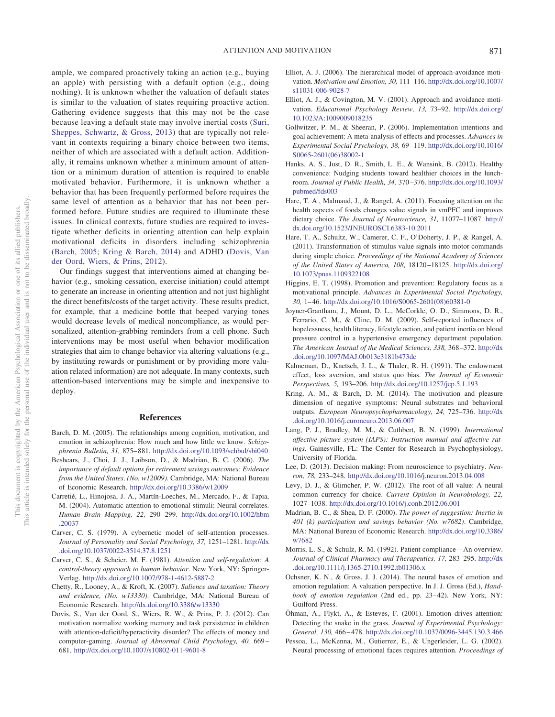ATTENTION AND MOTIVATION 871

ample, we compared proactively taking an action (e.g., buying an apple) with persisting with a default option (e.g., doing nothing). It is unknown whether the valuation of default states is similar to the valuation of states requiring proactive action. Gathering evidence suggests that this may not be the case because leaving a default state may involve inertial costs (Suri, Sheppes, Schwartz, & Gross, 2013) that are typically not relevant in contexts requiring a binary choice between two items, neither of which are associated with a default action. Additionally, it remains unknown whether a minimum amount of attention or a minimum duration of attention is required to enable motivated behavior. Furthermore, it is unknown whether a behavior that has been frequently performed before requires the same level of attention as a behavior that has not been performed before. Future studies are required to illuminate these issues. In clinical contexts, future studies are required to investigate whether deficits in orienting attention can help explain motivational deficits in disorders including schizophrenia (Barch, 2005; Kring & Barch, 2014) and ADHD (Dovis, Van der Oord, Wiers, & Prins, 2012).

Our findings suggest that interventions aimed at changing behavior (e.g., smoking cessation, exercise initiation) could attempt to generate an increase in orienting attention and not just highlight the direct benefits/costs of the target activity. These results predict, for example, that a medicine bottle that beeped varying tones would decrease levels of medical noncompliance, as would personalized, attention-grabbing reminders from a cell phone. Such interventions may be most useful when behavior modification strategies that aim to change behavior via altering valuations (e.g., by instituting rewards or punishment or by providing more valuation related information) are not adequate. In many contexts, such attention-based interventions may be simple and inexpensive to deploy.

#### **References**

- Barch, D. M. (2005). The relationships among cognition, motivation, and emotion in schizophrenia: How much and how little we know. *Schizophrenia Bulletin, 31,* 875– 881. http://dx.doi.org/10.1093/schbul/sbi040
- Beshears, J., Choi, J. J., Laibson, D., & Madrian, B. C. (2006). *The importance of default options for retirement savings outcomes: Evidence from the United States, (No. w12009)*. Cambridge, MA: National Bureau of Economic Research. http://dx.doi.org/10.3386/w12009
- Carretié, L., Hinojosa, J. A., Martín-Loeches, M., Mercado, F., & Tapia, M. (2004). Automatic attention to emotional stimuli: Neural correlates. *Human Brain Mapping, 22,* 290 –299. http://dx.doi.org/10.1002/hbm .20037
- Carver, C. S. (1979). A cybernetic model of self-attention processes. *Journal of Personality and Social Psychology, 37,* 1251–1281. http://dx .doi.org/10.1037/0022-3514.37.8.1251
- Carver, C. S., & Scheier, M. F. (1981). *Attention and self-regulation: A control-theory approach to human behavior*. New York, NY: Springer-Verlag. http://dx.doi.org/10.1007/978-1-4612-5887-2
- Chetty, R., Looney, A., & Kroft, K. (2007). *Salience and taxation: Theory and evidence, (No. w13330)*. Cambridge, MA: National Bureau of Economic Research. http://dx.doi.org/10.3386/w13330
- Dovis, S., Van der Oord, S., Wiers, R. W., & Prins, P. J. (2012). Can motivation normalize working memory and task persistence in children with attention-deficit/hyperactivity disorder? The effects of money and computer-gaming. *Journal of Abnormal Child Psychology, 40,* 669 – 681. http://dx.doi.org/10.1007/s10802-011-9601-8
- Elliot, A. J. (2006). The hierarchical model of approach-avoidance motivation. *Motivation and Emotion, 30,* 111–116. http://dx.doi.org/10.1007/ s11031-006-9028-7
- Elliot, A. J., & Covington, M. V. (2001). Approach and avoidance motivation. *Educational Psychology Review, 13,* 73–92. http://dx.doi.org/ 10.1023/A:1009009018235
- Gollwitzer, P. M., & Sheeran, P. (2006). Implementation intentions and goal achievement: A meta-analysis of effects and processes. *Advances in Experimental Social Psychology, 38,* 69 –119. http://dx.doi.org/10.1016/ S0065-2601(06)38002-1
- Hanks, A. S., Just, D. R., Smith, L. E., & Wansink, B. (2012). Healthy convenience: Nudging students toward healthier choices in the lunchroom. *Journal of Public Health, 34,* 370 –376. http://dx.doi.org/10.1093/ pubmed/fds003
- Hare, T. A., Malmaud, J., & Rangel, A. (2011). Focusing attention on the health aspects of foods changes value signals in vmPFC and improves dietary choice. *The Journal of Neuroscience, 31,* 11077–11087. http:// dx.doi.org/10.1523/JNEUROSCI.6383-10.2011
- Hare, T. A., Schultz, W., Camerer, C. F., O'Doherty, J. P., & Rangel, A. (2011). Transformation of stimulus value signals into motor commands during simple choice. *Proceedings of the National Academy of Sciences of the United States of America, 108,* 18120 –18125. http://dx.doi.org/ 10.1073/pnas.1109322108
- Higgins, E. T. (1998). Promotion and prevention: Regulatory focus as a motivational principle. *Advances in Experimental Social Psychology, 30,* 1– 46. http://dx.doi.org/10.1016/S0065-2601(08)60381-0
- Joyner-Grantham, J., Mount, D. L., McCorkle, O. D., Simmons, D. R., Ferrario, C. M., & Cline, D. M. (2009). Self-reported influences of hopelessness, health literacy, lifestyle action, and patient inertia on blood pressure control in a hypertensive emergency department population. *The American Journal of the Medical Sciences, 338,* 368 –372. http://dx .doi.org/10.1097/MAJ.0b013e3181b473dc
- Kahneman, D., Knetsch, J. L., & Thaler, R. H. (1991). The endowment effect, loss aversion, and status quo bias. *The Journal of Economic Perspectives, 5,* 193–206. http://dx.doi.org/10.1257/jep.5.1.193
- Kring, A. M., & Barch, D. M. (2014). The motivation and pleasure dimension of negative symptoms: Neural substrates and behavioral outputs. *European Neuropsychopharmacology, 24,* 725–736. http://dx .doi.org/10.1016/j.euroneuro.2013.06.007
- Lang, P. J., Bradley, M. M., & Cuthbert, B. N. (1999). *International affective picture system (IAPS): Instruction manual and affective ratings*. Gainesville, FL: The Center for Research in Psychophysiology, University of Florida.
- Lee, D. (2013). Decision making: From neuroscience to psychiatry. *Neuron, 78,* 233–248. http://dx.doi.org/10.1016/j.neuron.2013.04.008
- Levy, D. J., & Glimcher, P. W. (2012). The root of all value: A neural common currency for choice. *Current Opinion in Neurobiology, 22,* 1027–1038. http://dx.doi.org/10.1016/j.conb.2012.06.001
- Madrian, B. C., & Shea, D. F. (2000). *The power of suggestion: Inertia in 401 (k) participation and savings behavior (No. w7682)*. Cambridge, MA: National Bureau of Economic Research. http://dx.doi.org/10.3386/ w7682
- Morris, L. S., & Schulz, R. M. (1992). Patient compliance—An overview. *Journal of Clinical Pharmacy and Therapeutics, 17,* 283–295. http://dx .doi.org/10.1111/j.1365-2710.1992.tb01306.x
- Ochsner, K. N., & Gross, J. J. (2014). The neural bases of emotion and emotion regulation: A valuation perspective. In J. J. Gross (Ed.), *Handbook of emotion regulation* (2nd ed., pp. 23–42). New York, NY: Guilford Press.
- Öhman, A., Flykt, A., & Esteves, F. (2001). Emotion drives attention: Detecting the snake in the grass. *Journal of Experimental Psychology: General, 130,* 466 – 478. http://dx.doi.org/10.1037/0096-3445.130.3.466
- Pessoa, L., McKenna, M., Gutierrez, E., & Ungerleider, L. G. (2002). Neural processing of emotional faces requires attention. *Proceedings of*